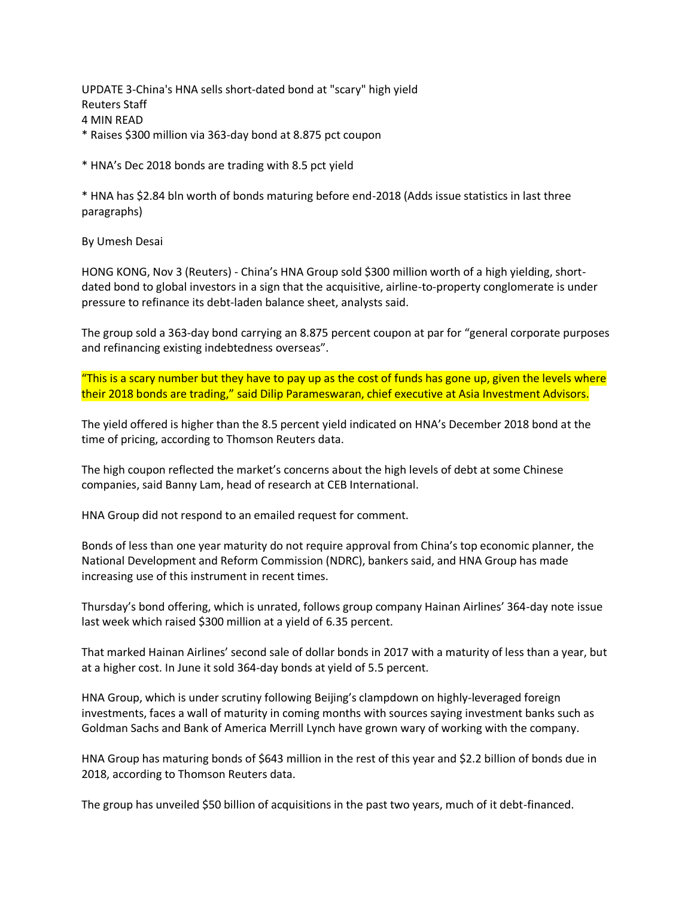UPDATE 3-China's HNA sells short-dated bond at "scary" high yield Reuters Staff 4 MIN READ \* Raises \$300 million via 363-day bond at 8.875 pct coupon

\* HNA's Dec 2018 bonds are trading with 8.5 pct yield

\* HNA has \$2.84 bln worth of bonds maturing before end-2018 (Adds issue statistics in last three paragraphs)

By Umesh Desai

HONG KONG, Nov 3 (Reuters) - China's HNA Group sold \$300 million worth of a high yielding, shortdated bond to global investors in a sign that the acquisitive, airline-to-property conglomerate is under pressure to refinance its debt-laden balance sheet, analysts said.

The group sold a 363-day bond carrying an 8.875 percent coupon at par for "general corporate purposes and refinancing existing indebtedness overseas".

"This is a scary number but they have to pay up as the cost of funds has gone up, given the levels where their 2018 bonds are trading," said Dilip Parameswaran, chief executive at Asia Investment Advisors.

The yield offered is higher than the 8.5 percent yield indicated on HNA's December 2018 bond at the time of pricing, according to Thomson Reuters data.

The high coupon reflected the market's concerns about the high levels of debt at some Chinese companies, said Banny Lam, head of research at CEB International.

HNA Group did not respond to an emailed request for comment.

Bonds of less than one year maturity do not require approval from China's top economic planner, the National Development and Reform Commission (NDRC), bankers said, and HNA Group has made increasing use of this instrument in recent times.

Thursday's bond offering, which is unrated, follows group company Hainan Airlines' 364-day note issue last week which raised \$300 million at a yield of 6.35 percent.

That marked Hainan Airlines' second sale of dollar bonds in 2017 with a maturity of less than a year, but at a higher cost. In June it sold 364-day bonds at yield of 5.5 percent.

HNA Group, which is under scrutiny following Beijing's clampdown on highly-leveraged foreign investments, faces a wall of maturity in coming months with sources saying investment banks such as Goldman Sachs and Bank of America Merrill Lynch have grown wary of working with the company.

HNA Group has maturing bonds of \$643 million in the rest of this year and \$2.2 billion of bonds due in 2018, according to Thomson Reuters data.

The group has unveiled \$50 billion of acquisitions in the past two years, much of it debt-financed.